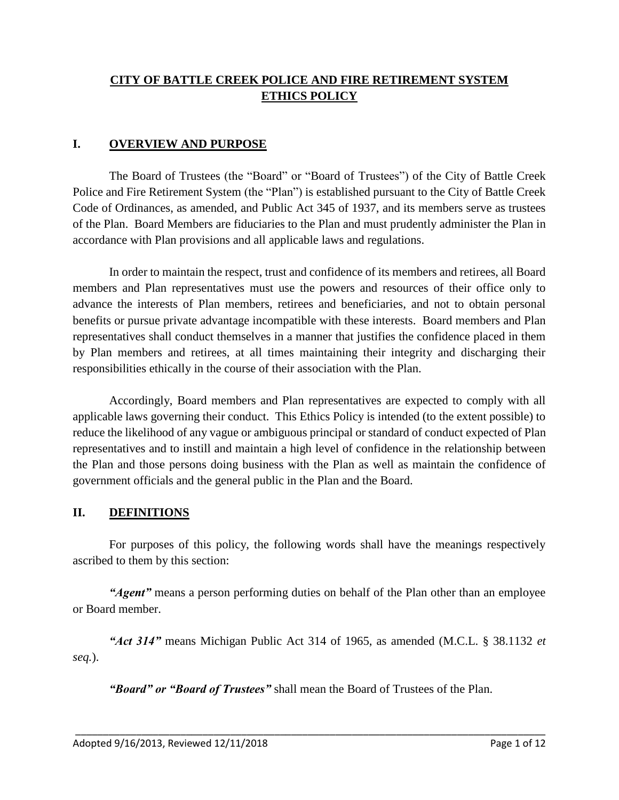## **CITY OF BATTLE CREEK POLICE AND FIRE RETIREMENT SYSTEM ETHICS POLICY**

#### **I. OVERVIEW AND PURPOSE**

The Board of Trustees (the "Board" or "Board of Trustees") of the City of Battle Creek Police and Fire Retirement System (the "Plan") is established pursuant to the City of Battle Creek Code of Ordinances, as amended, and Public Act 345 of 1937, and its members serve as trustees of the Plan. Board Members are fiduciaries to the Plan and must prudently administer the Plan in accordance with Plan provisions and all applicable laws and regulations.

In order to maintain the respect, trust and confidence of its members and retirees, all Board members and Plan representatives must use the powers and resources of their office only to advance the interests of Plan members, retirees and beneficiaries, and not to obtain personal benefits or pursue private advantage incompatible with these interests. Board members and Plan representatives shall conduct themselves in a manner that justifies the confidence placed in them by Plan members and retirees, at all times maintaining their integrity and discharging their responsibilities ethically in the course of their association with the Plan.

Accordingly, Board members and Plan representatives are expected to comply with all applicable laws governing their conduct. This Ethics Policy is intended (to the extent possible) to reduce the likelihood of any vague or ambiguous principal or standard of conduct expected of Plan representatives and to instill and maintain a high level of confidence in the relationship between the Plan and those persons doing business with the Plan as well as maintain the confidence of government officials and the general public in the Plan and the Board.

#### **II. DEFINITIONS**

For purposes of this policy, the following words shall have the meanings respectively ascribed to them by this section:

*"Agent"* means a person performing duties on behalf of the Plan other than an employee or Board member.

*"Act 314"* means Michigan Public Act 314 of 1965, as amended (M.C.L. § 38.1132 *et seq.*).

\_\_\_\_\_\_\_\_\_\_\_\_\_\_\_\_\_\_\_\_\_\_\_\_\_\_\_\_\_\_\_\_\_\_\_\_\_\_\_\_\_\_\_\_\_\_\_\_\_\_\_\_\_\_\_\_\_\_\_\_\_\_\_\_\_\_\_\_\_\_\_\_\_\_\_\_\_\_\_\_\_\_\_\_\_

*"Board" or "Board of Trustees"* shall mean the Board of Trustees of the Plan.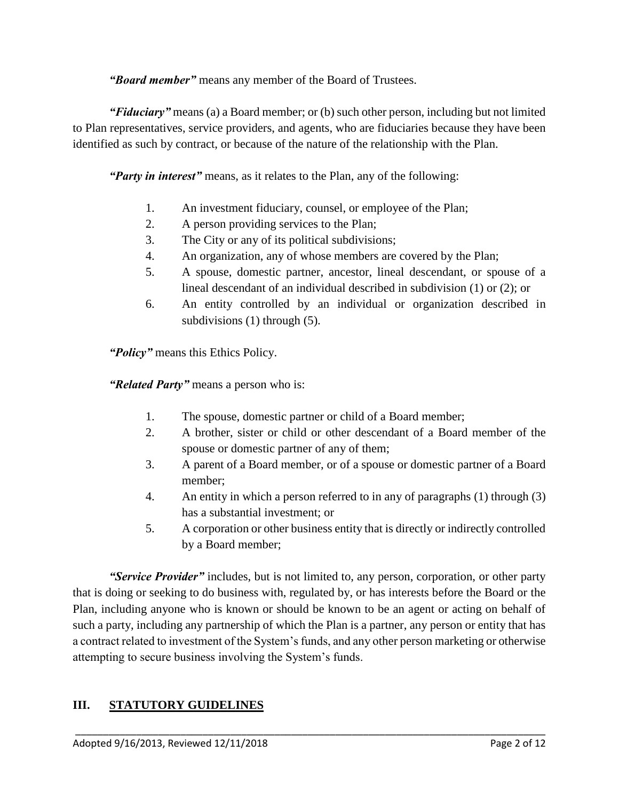*"Board member"* means any member of the Board of Trustees.

*"Fiduciary"* means (a) a Board member; or (b) such other person, including but not limited to Plan representatives, service providers, and agents, who are fiduciaries because they have been identified as such by contract, or because of the nature of the relationship with the Plan.

*"Party in interest"* means, as it relates to the Plan, any of the following:

- 1. An investment fiduciary, counsel, or employee of the Plan;
- 2. A person providing services to the Plan;
- 3. The City or any of its political subdivisions;
- 4. An organization, any of whose members are covered by the Plan;
- 5. A spouse, domestic partner, ancestor, lineal descendant, or spouse of a lineal descendant of an individual described in subdivision (1) or (2); or
- 6. An entity controlled by an individual or organization described in subdivisions (1) through (5).

*"Policy"* means this Ethics Policy.

*"Related Party"* means a person who is:

- 1. The spouse, domestic partner or child of a Board member;
- 2. A brother, sister or child or other descendant of a Board member of the spouse or domestic partner of any of them;
- 3. A parent of a Board member, or of a spouse or domestic partner of a Board member;
- 4. An entity in which a person referred to in any of paragraphs (1) through (3) has a substantial investment; or
- 5. A corporation or other business entity that is directly or indirectly controlled by a Board member;

*"Service Provider"* includes, but is not limited to, any person, corporation, or other party that is doing or seeking to do business with, regulated by, or has interests before the Board or the Plan, including anyone who is known or should be known to be an agent or acting on behalf of such a party, including any partnership of which the Plan is a partner, any person or entity that has a contract related to investment of the System's funds, and any other person marketing or otherwise attempting to secure business involving the System's funds.

\_\_\_\_\_\_\_\_\_\_\_\_\_\_\_\_\_\_\_\_\_\_\_\_\_\_\_\_\_\_\_\_\_\_\_\_\_\_\_\_\_\_\_\_\_\_\_\_\_\_\_\_\_\_\_\_\_\_\_\_\_\_\_\_\_\_\_\_\_\_\_\_\_\_\_\_\_\_\_\_\_\_\_\_\_

### **III. STATUTORY GUIDELINES**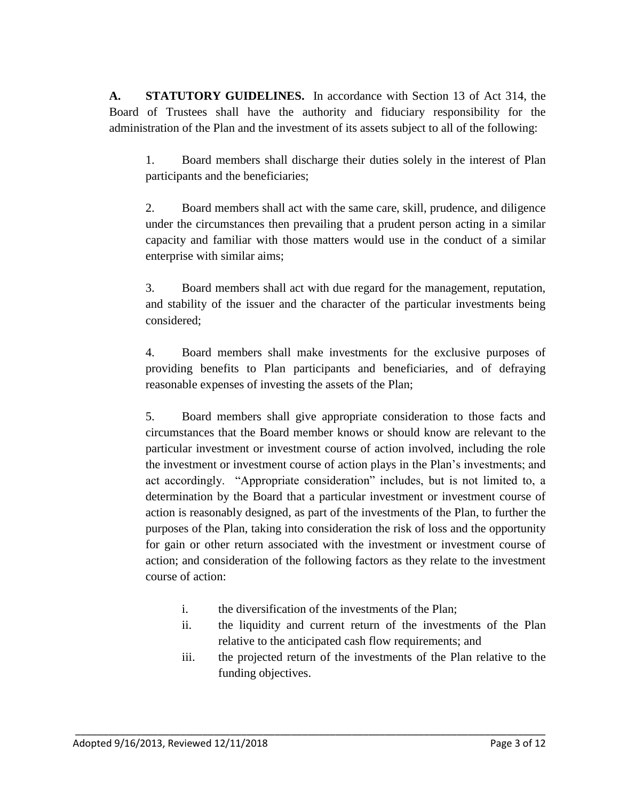**A. STATUTORY GUIDELINES.** In accordance with Section 13 of Act 314, the Board of Trustees shall have the authority and fiduciary responsibility for the administration of the Plan and the investment of its assets subject to all of the following:

1. Board members shall discharge their duties solely in the interest of Plan participants and the beneficiaries;

2. Board members shall act with the same care, skill, prudence, and diligence under the circumstances then prevailing that a prudent person acting in a similar capacity and familiar with those matters would use in the conduct of a similar enterprise with similar aims;

3. Board members shall act with due regard for the management, reputation, and stability of the issuer and the character of the particular investments being considered;

4. Board members shall make investments for the exclusive purposes of providing benefits to Plan participants and beneficiaries, and of defraying reasonable expenses of investing the assets of the Plan;

5. Board members shall give appropriate consideration to those facts and circumstances that the Board member knows or should know are relevant to the particular investment or investment course of action involved, including the role the investment or investment course of action plays in the Plan's investments; and act accordingly. "Appropriate consideration" includes, but is not limited to, a determination by the Board that a particular investment or investment course of action is reasonably designed, as part of the investments of the Plan, to further the purposes of the Plan, taking into consideration the risk of loss and the opportunity for gain or other return associated with the investment or investment course of action; and consideration of the following factors as they relate to the investment course of action:

i. the diversification of the investments of the Plan;

- ii. the liquidity and current return of the investments of the Plan relative to the anticipated cash flow requirements; and
- iii. the projected return of the investments of the Plan relative to the funding objectives.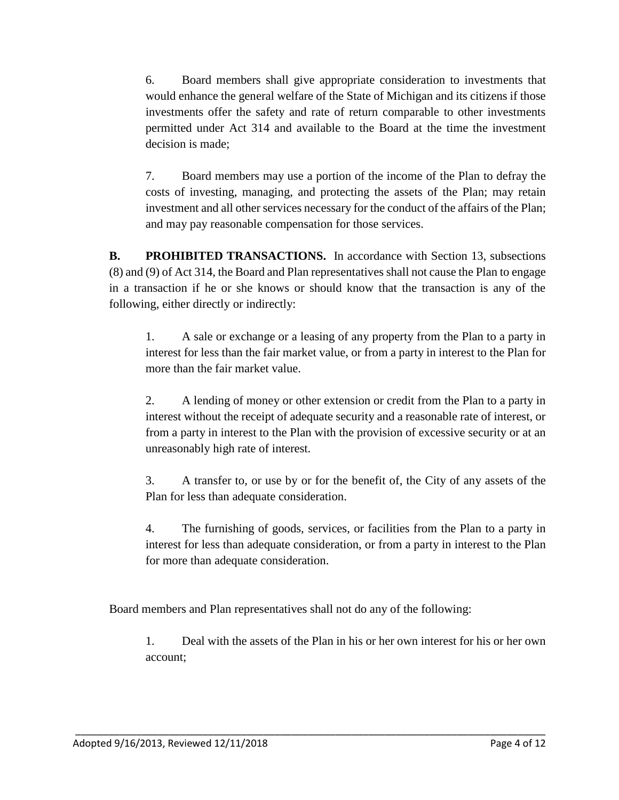6. Board members shall give appropriate consideration to investments that would enhance the general welfare of the State of Michigan and its citizens if those investments offer the safety and rate of return comparable to other investments permitted under Act 314 and available to the Board at the time the investment decision is made;

7. Board members may use a portion of the income of the Plan to defray the costs of investing, managing, and protecting the assets of the Plan; may retain investment and all other services necessary for the conduct of the affairs of the Plan; and may pay reasonable compensation for those services.

**B. PROHIBITED TRANSACTIONS.** In accordance with Section 13, subsections (8) and (9) of Act 314, the Board and Plan representatives shall not cause the Plan to engage in a transaction if he or she knows or should know that the transaction is any of the following, either directly or indirectly:

1. A sale or exchange or a leasing of any property from the Plan to a party in interest for less than the fair market value, or from a party in interest to the Plan for more than the fair market value.

2. A lending of money or other extension or credit from the Plan to a party in interest without the receipt of adequate security and a reasonable rate of interest, or from a party in interest to the Plan with the provision of excessive security or at an unreasonably high rate of interest.

3. A transfer to, or use by or for the benefit of, the City of any assets of the Plan for less than adequate consideration.

4. The furnishing of goods, services, or facilities from the Plan to a party in interest for less than adequate consideration, or from a party in interest to the Plan for more than adequate consideration.

Board members and Plan representatives shall not do any of the following:

\_\_\_\_\_\_\_\_\_\_\_\_\_\_\_\_\_\_\_\_\_\_\_\_\_\_\_\_\_\_\_\_\_\_\_\_\_\_\_\_\_\_\_\_\_\_\_\_\_\_\_\_\_\_\_\_\_\_\_\_\_\_\_\_\_\_\_\_\_\_\_\_\_\_\_\_\_\_\_\_\_\_\_\_\_

1. Deal with the assets of the Plan in his or her own interest for his or her own account;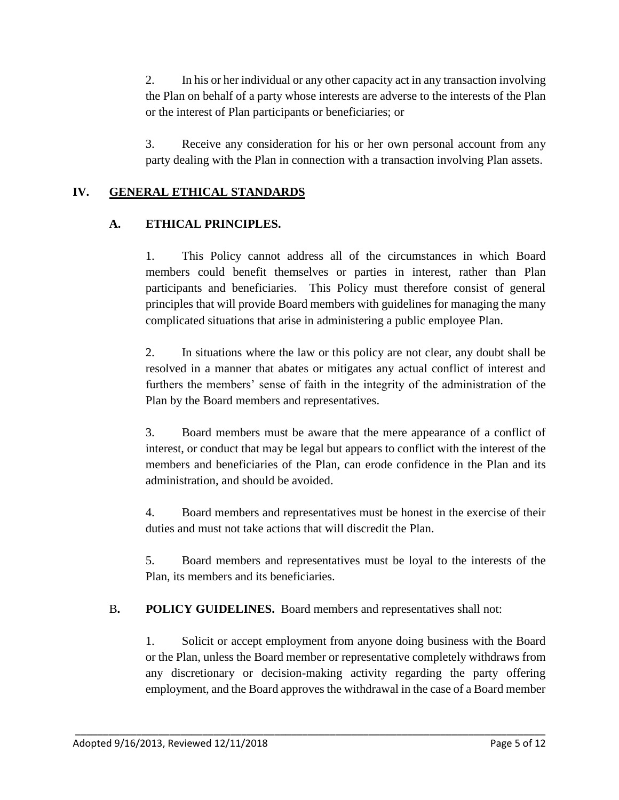2. In his or her individual or any other capacity act in any transaction involving the Plan on behalf of a party whose interests are adverse to the interests of the Plan or the interest of Plan participants or beneficiaries; or

3. Receive any consideration for his or her own personal account from any party dealing with the Plan in connection with a transaction involving Plan assets.

## **IV. GENERAL ETHICAL STANDARDS**

### **A. ETHICAL PRINCIPLES.**

1. This Policy cannot address all of the circumstances in which Board members could benefit themselves or parties in interest, rather than Plan participants and beneficiaries. This Policy must therefore consist of general principles that will provide Board members with guidelines for managing the many complicated situations that arise in administering a public employee Plan.

2. In situations where the law or this policy are not clear, any doubt shall be resolved in a manner that abates or mitigates any actual conflict of interest and furthers the members' sense of faith in the integrity of the administration of the Plan by the Board members and representatives.

3. Board members must be aware that the mere appearance of a conflict of interest, or conduct that may be legal but appears to conflict with the interest of the members and beneficiaries of the Plan, can erode confidence in the Plan and its administration, and should be avoided.

4. Board members and representatives must be honest in the exercise of their duties and must not take actions that will discredit the Plan.

5. Board members and representatives must be loyal to the interests of the Plan, its members and its beneficiaries.

B**. POLICY GUIDELINES.** Board members and representatives shall not:

\_\_\_\_\_\_\_\_\_\_\_\_\_\_\_\_\_\_\_\_\_\_\_\_\_\_\_\_\_\_\_\_\_\_\_\_\_\_\_\_\_\_\_\_\_\_\_\_\_\_\_\_\_\_\_\_\_\_\_\_\_\_\_\_\_\_\_\_\_\_\_\_\_\_\_\_\_\_\_\_\_\_\_\_\_

1. Solicit or accept employment from anyone doing business with the Board or the Plan, unless the Board member or representative completely withdraws from any discretionary or decision-making activity regarding the party offering employment, and the Board approves the withdrawal in the case of a Board member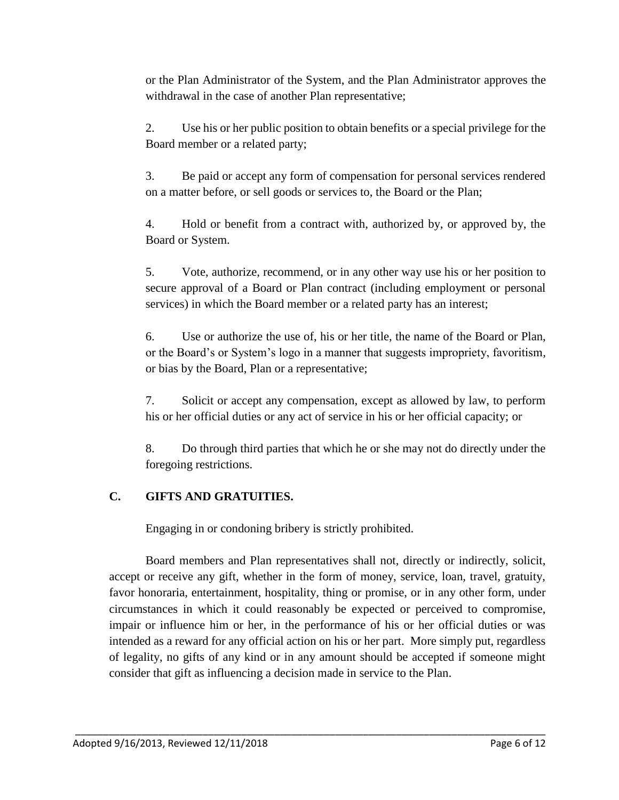or the Plan Administrator of the System, and the Plan Administrator approves the withdrawal in the case of another Plan representative;

2. Use his or her public position to obtain benefits or a special privilege for the Board member or a related party;

3. Be paid or accept any form of compensation for personal services rendered on a matter before, or sell goods or services to, the Board or the Plan;

4. Hold or benefit from a contract with, authorized by, or approved by, the Board or System.

5. Vote, authorize, recommend, or in any other way use his or her position to secure approval of a Board or Plan contract (including employment or personal services) in which the Board member or a related party has an interest;

6. Use or authorize the use of, his or her title, the name of the Board or Plan, or the Board's or System's logo in a manner that suggests impropriety, favoritism, or bias by the Board, Plan or a representative;

7. Solicit or accept any compensation, except as allowed by law, to perform his or her official duties or any act of service in his or her official capacity; or

8. Do through third parties that which he or she may not do directly under the foregoing restrictions.

### **C. GIFTS AND GRATUITIES.**

Engaging in or condoning bribery is strictly prohibited.

Board members and Plan representatives shall not, directly or indirectly, solicit, accept or receive any gift, whether in the form of money, service, loan, travel, gratuity, favor honoraria, entertainment, hospitality, thing or promise, or in any other form, under circumstances in which it could reasonably be expected or perceived to compromise, impair or influence him or her, in the performance of his or her official duties or was intended as a reward for any official action on his or her part. More simply put, regardless of legality, no gifts of any kind or in any amount should be accepted if someone might consider that gift as influencing a decision made in service to the Plan.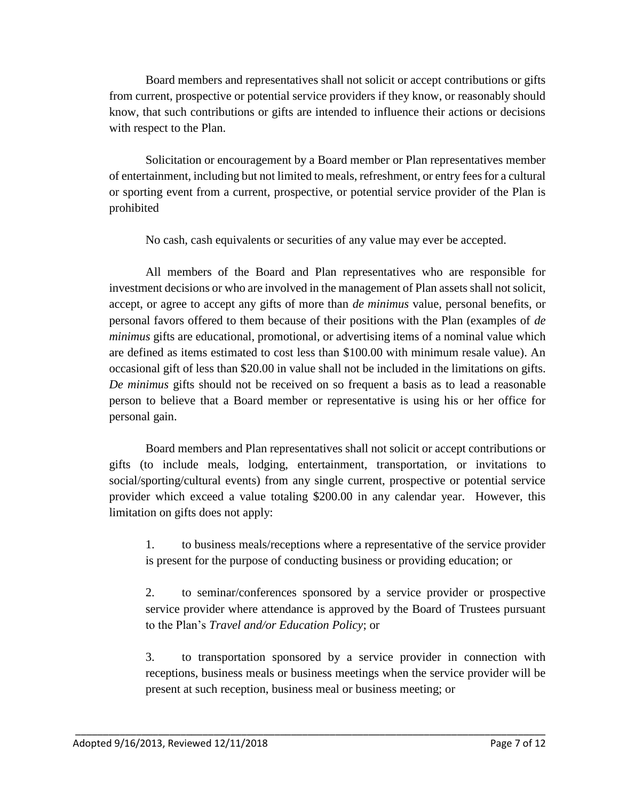Board members and representatives shall not solicit or accept contributions or gifts from current, prospective or potential service providers if they know, or reasonably should know, that such contributions or gifts are intended to influence their actions or decisions with respect to the Plan.

Solicitation or encouragement by a Board member or Plan representatives member of entertainment, including but not limited to meals, refreshment, or entry fees for a cultural or sporting event from a current, prospective, or potential service provider of the Plan is prohibited

No cash, cash equivalents or securities of any value may ever be accepted.

All members of the Board and Plan representatives who are responsible for investment decisions or who are involved in the management of Plan assets shall not solicit, accept, or agree to accept any gifts of more than *de minimus* value, personal benefits, or personal favors offered to them because of their positions with the Plan (examples of *de minimus* gifts are educational, promotional, or advertising items of a nominal value which are defined as items estimated to cost less than \$100.00 with minimum resale value). An occasional gift of less than \$20.00 in value shall not be included in the limitations on gifts. *De minimus* gifts should not be received on so frequent a basis as to lead a reasonable person to believe that a Board member or representative is using his or her office for personal gain.

Board members and Plan representatives shall not solicit or accept contributions or gifts (to include meals, lodging, entertainment, transportation, or invitations to social/sporting/cultural events) from any single current, prospective or potential service provider which exceed a value totaling \$200.00 in any calendar year. However, this limitation on gifts does not apply:

1. to business meals/receptions where a representative of the service provider is present for the purpose of conducting business or providing education; or

2. to seminar/conferences sponsored by a service provider or prospective service provider where attendance is approved by the Board of Trustees pursuant to the Plan's *Travel and/or Education Policy*; or

3. to transportation sponsored by a service provider in connection with receptions, business meals or business meetings when the service provider will be present at such reception, business meal or business meeting; or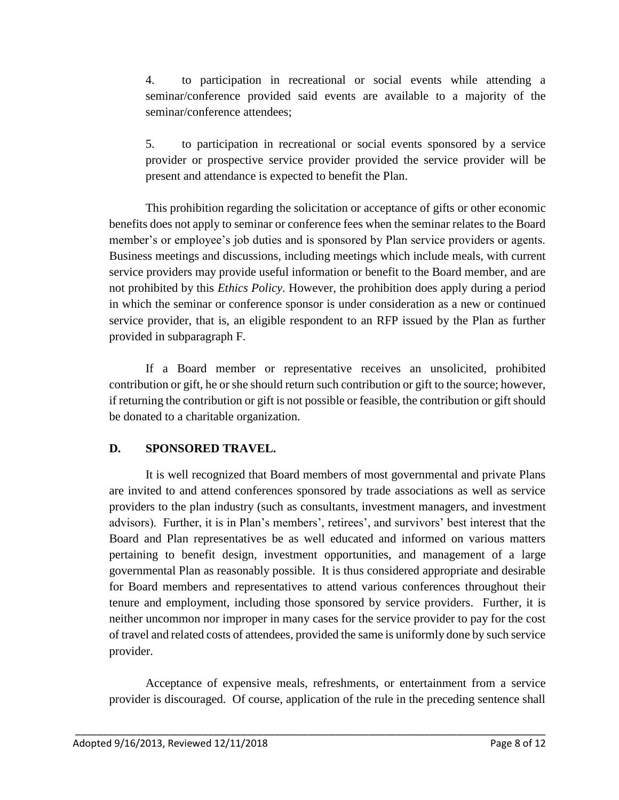4. to participation in recreational or social events while attending a seminar/conference provided said events are available to a majority of the seminar/conference attendees;

5. to participation in recreational or social events sponsored by a service provider or prospective service provider provided the service provider will be present and attendance is expected to benefit the Plan.

This prohibition regarding the solicitation or acceptance of gifts or other economic benefits does not apply to seminar or conference fees when the seminar relates to the Board member's or employee's job duties and is sponsored by Plan service providers or agents. Business meetings and discussions, including meetings which include meals, with current service providers may provide useful information or benefit to the Board member, and are not prohibited by this *Ethics Policy*. However, the prohibition does apply during a period in which the seminar or conference sponsor is under consideration as a new or continued service provider, that is, an eligible respondent to an RFP issued by the Plan as further provided in subparagraph F.

If a Board member or representative receives an unsolicited, prohibited contribution or gift, he or she should return such contribution or gift to the source; however, if returning the contribution or gift is not possible or feasible, the contribution or gift should be donated to a charitable organization.

### **D. SPONSORED TRAVEL.**

It is well recognized that Board members of most governmental and private Plans are invited to and attend conferences sponsored by trade associations as well as service providers to the plan industry (such as consultants, investment managers, and investment advisors). Further, it is in Plan's members', retirees', and survivors' best interest that the Board and Plan representatives be as well educated and informed on various matters pertaining to benefit design, investment opportunities, and management of a large governmental Plan as reasonably possible. It is thus considered appropriate and desirable for Board members and representatives to attend various conferences throughout their tenure and employment, including those sponsored by service providers. Further, it is neither uncommon nor improper in many cases for the service provider to pay for the cost of travel and related costs of attendees, provided the same is uniformly done by such service provider.

Acceptance of expensive meals, refreshments, or entertainment from a service provider is discouraged. Of course, application of the rule in the preceding sentence shall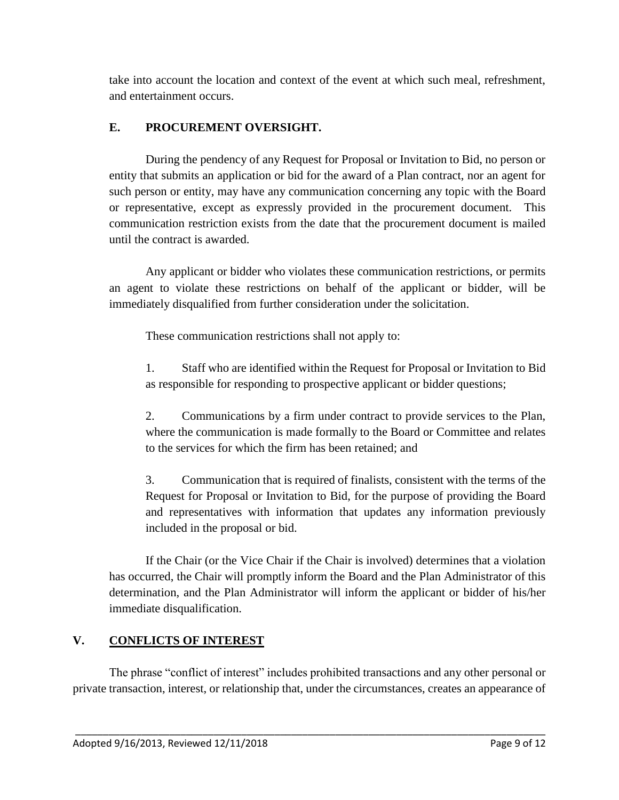take into account the location and context of the event at which such meal, refreshment, and entertainment occurs.

## **E. PROCUREMENT OVERSIGHT.**

During the pendency of any Request for Proposal or Invitation to Bid, no person or entity that submits an application or bid for the award of a Plan contract, nor an agent for such person or entity, may have any communication concerning any topic with the Board or representative, except as expressly provided in the procurement document. This communication restriction exists from the date that the procurement document is mailed until the contract is awarded.

Any applicant or bidder who violates these communication restrictions, or permits an agent to violate these restrictions on behalf of the applicant or bidder, will be immediately disqualified from further consideration under the solicitation.

These communication restrictions shall not apply to:

1. Staff who are identified within the Request for Proposal or Invitation to Bid as responsible for responding to prospective applicant or bidder questions;

2. Communications by a firm under contract to provide services to the Plan, where the communication is made formally to the Board or Committee and relates to the services for which the firm has been retained; and

3. Communication that is required of finalists, consistent with the terms of the Request for Proposal or Invitation to Bid, for the purpose of providing the Board and representatives with information that updates any information previously included in the proposal or bid.

If the Chair (or the Vice Chair if the Chair is involved) determines that a violation has occurred, the Chair will promptly inform the Board and the Plan Administrator of this determination, and the Plan Administrator will inform the applicant or bidder of his/her immediate disqualification.

# **V. CONFLICTS OF INTEREST**

The phrase "conflict of interest" includes prohibited transactions and any other personal or private transaction, interest, or relationship that, under the circumstances, creates an appearance of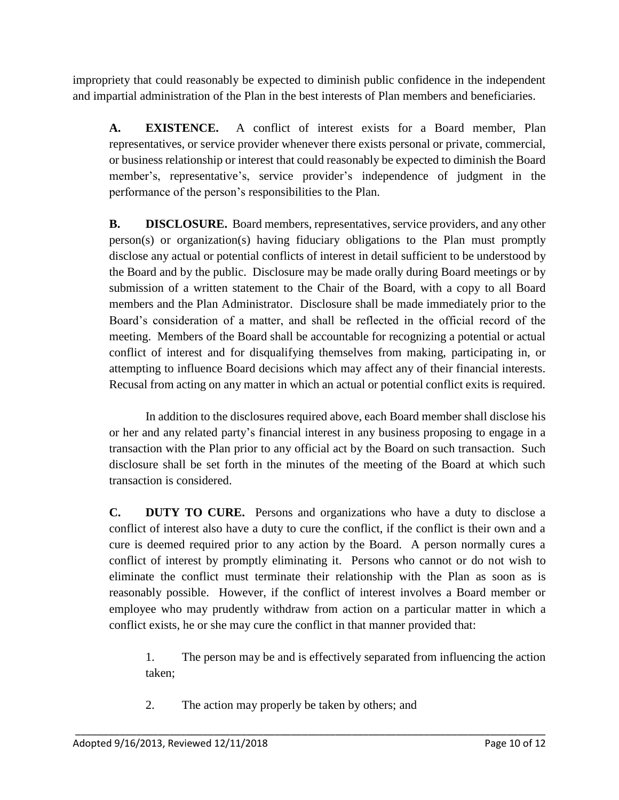impropriety that could reasonably be expected to diminish public confidence in the independent and impartial administration of the Plan in the best interests of Plan members and beneficiaries.

**A. EXISTENCE.** A conflict of interest exists for a Board member, Plan representatives, or service provider whenever there exists personal or private, commercial, or business relationship or interest that could reasonably be expected to diminish the Board member's, representative's, service provider's independence of judgment in the performance of the person's responsibilities to the Plan.

**B. DISCLOSURE.** Board members, representatives, service providers, and any other person(s) or organization(s) having fiduciary obligations to the Plan must promptly disclose any actual or potential conflicts of interest in detail sufficient to be understood by the Board and by the public. Disclosure may be made orally during Board meetings or by submission of a written statement to the Chair of the Board, with a copy to all Board members and the Plan Administrator. Disclosure shall be made immediately prior to the Board's consideration of a matter, and shall be reflected in the official record of the meeting. Members of the Board shall be accountable for recognizing a potential or actual conflict of interest and for disqualifying themselves from making, participating in, or attempting to influence Board decisions which may affect any of their financial interests. Recusal from acting on any matter in which an actual or potential conflict exits is required.

In addition to the disclosures required above, each Board member shall disclose his or her and any related party's financial interest in any business proposing to engage in a transaction with the Plan prior to any official act by the Board on such transaction. Such disclosure shall be set forth in the minutes of the meeting of the Board at which such transaction is considered.

**C. DUTY TO CURE.** Persons and organizations who have a duty to disclose a conflict of interest also have a duty to cure the conflict, if the conflict is their own and a cure is deemed required prior to any action by the Board. A person normally cures a conflict of interest by promptly eliminating it. Persons who cannot or do not wish to eliminate the conflict must terminate their relationship with the Plan as soon as is reasonably possible. However, if the conflict of interest involves a Board member or employee who may prudently withdraw from action on a particular matter in which a conflict exists, he or she may cure the conflict in that manner provided that:

1. The person may be and is effectively separated from influencing the action taken;

2. The action may properly be taken by others; and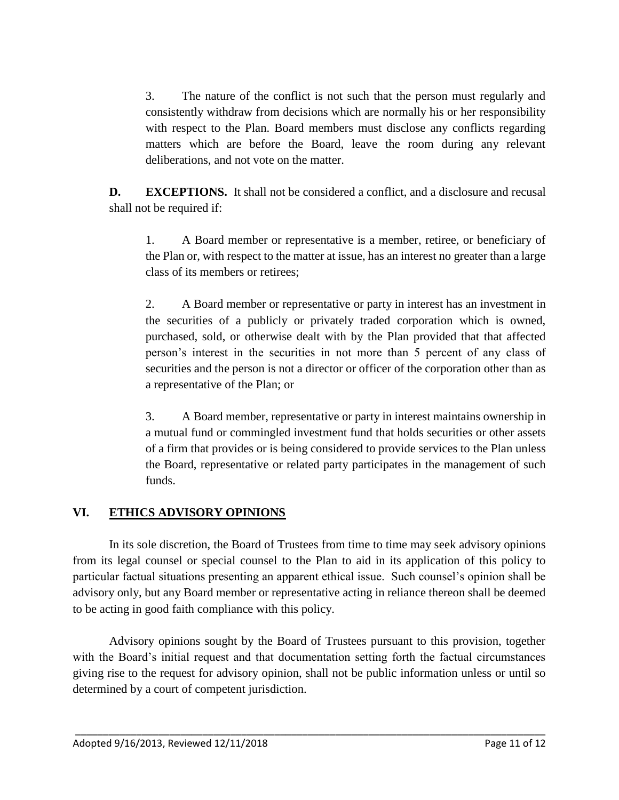3. The nature of the conflict is not such that the person must regularly and consistently withdraw from decisions which are normally his or her responsibility with respect to the Plan. Board members must disclose any conflicts regarding matters which are before the Board, leave the room during any relevant deliberations, and not vote on the matter.

**D. EXCEPTIONS.** It shall not be considered a conflict, and a disclosure and recusal shall not be required if:

1. A Board member or representative is a member, retiree, or beneficiary of the Plan or, with respect to the matter at issue, has an interest no greater than a large class of its members or retirees;

2. A Board member or representative or party in interest has an investment in the securities of a publicly or privately traded corporation which is owned, purchased, sold, or otherwise dealt with by the Plan provided that that affected person's interest in the securities in not more than 5 percent of any class of securities and the person is not a director or officer of the corporation other than as a representative of the Plan; or

3. A Board member, representative or party in interest maintains ownership in a mutual fund or commingled investment fund that holds securities or other assets of a firm that provides or is being considered to provide services to the Plan unless the Board, representative or related party participates in the management of such funds.

### **VI. ETHICS ADVISORY OPINIONS**

In its sole discretion, the Board of Trustees from time to time may seek advisory opinions from its legal counsel or special counsel to the Plan to aid in its application of this policy to particular factual situations presenting an apparent ethical issue. Such counsel's opinion shall be advisory only, but any Board member or representative acting in reliance thereon shall be deemed to be acting in good faith compliance with this policy.

Advisory opinions sought by the Board of Trustees pursuant to this provision, together with the Board's initial request and that documentation setting forth the factual circumstances giving rise to the request for advisory opinion, shall not be public information unless or until so determined by a court of competent jurisdiction.